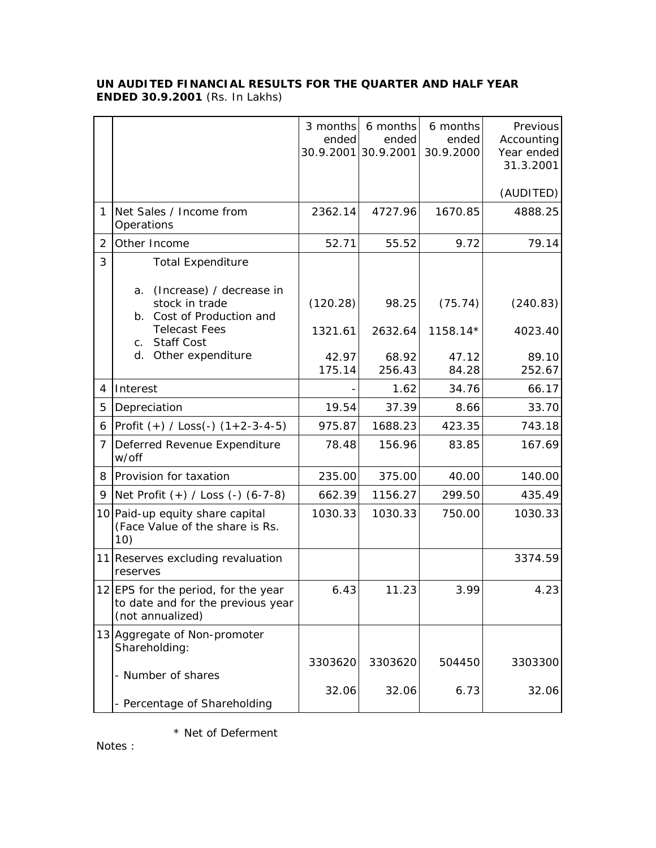## **UN AUDITED FINANCIAL RESULTS FOR THE QUARTER AND HALF YEAR ENDED 30.9.2001** (Rs. In Lakhs)

|                |                                                                                              | ended           | 3 months 6 months<br>ended<br>30.9.2001 30.9.2001 | 6 months<br>ended<br>30.9.2000 | Previous<br>Accounting<br>Year ended<br>31.3.2001 |
|----------------|----------------------------------------------------------------------------------------------|-----------------|---------------------------------------------------|--------------------------------|---------------------------------------------------|
|                |                                                                                              |                 |                                                   |                                | (AUDITED)                                         |
| 1              | Net Sales / Income from<br>Operations                                                        | 2362.14         | 4727.96                                           | 1670.85                        | 4888.25                                           |
| 2              | Other Income                                                                                 | 52.71           | 55.52                                             | 9.72                           | 79.14                                             |
| 3              | <b>Total Expenditure</b><br>(Increase) / decrease in<br>a.<br>stock in trade                 | (120.28)        | 98.25                                             | (75.74)                        | (240.83)                                          |
|                | Cost of Production and<br>$b_{\cdot}$<br><b>Telecast Fees</b><br><b>Staff Cost</b><br>C.     | 1321.61         | 2632.64                                           | 1158.14*                       | 4023.40                                           |
|                | Other expenditure<br>d.                                                                      | 42.97<br>175.14 | 68.92<br>256.43                                   | 47.12<br>84.28                 | 89.10<br>252.67                                   |
| 4              | Interest                                                                                     |                 | 1.62                                              | 34.76                          | 66.17                                             |
| 5              | Depreciation                                                                                 | 19.54           | 37.39                                             | 8.66                           | 33.70                                             |
| 6              | Profit $(+)$ / Loss(-) $(1+2-3-4-5)$                                                         | 975.87          | 1688.23                                           | 423.35                         | 743.18                                            |
| $\overline{7}$ | Deferred Revenue Expenditure<br>w/off                                                        | 78.48           | 156.96                                            | 83.85                          | 167.69                                            |
| 8              | Provision for taxation                                                                       | 235.00          | 375.00                                            | 40.00                          | 140.00                                            |
| 9              | Net Profit (+) / Loss (-) (6-7-8)                                                            | 662.39          | 1156.27                                           | 299.50                         | 435.49                                            |
|                | 10 Paid-up equity share capital<br>(Face Value of the share is Rs.<br>10)                    | 1030.33         | 1030.33                                           | 750.00                         | 1030.33                                           |
|                | 11 Reserves excluding revaluation<br>reserves                                                |                 |                                                   |                                | 3374.59                                           |
|                | 12 EPS for the period, for the year<br>to date and for the previous year<br>(not annualized) | 6.43            | 11.23                                             | 3.99                           | 4.23                                              |
|                | 13 Aggregate of Non-promoter<br>Shareholding:                                                |                 |                                                   |                                |                                                   |
|                | - Number of shares                                                                           | 3303620         | 3303620                                           | 504450                         | 3303300                                           |
|                | - Percentage of Shareholding                                                                 | 32.06           | 32.06                                             | 6.73                           | 32.06                                             |

\* Net of Deferment

Notes :